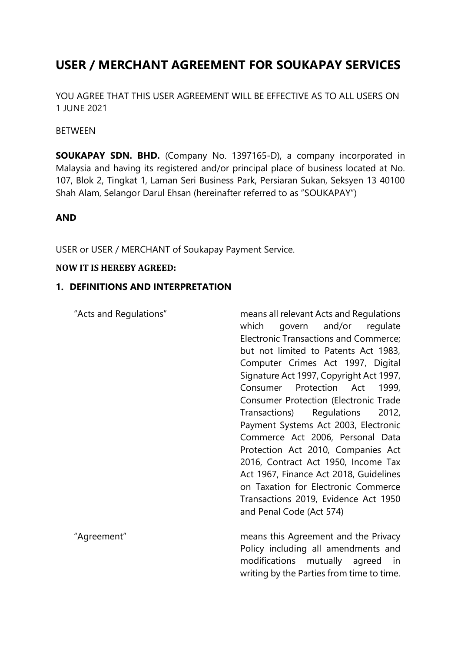# **USER / MERCHANT AGREEMENT FOR SOUKAPAY SERVICES**

YOU AGREE THAT THIS USER AGREEMENT WILL BE EFFECTIVE AS TO ALL USERS ON 1 JUNE 2021

#### **BETWEEN**

**SOUKAPAY SDN. BHD.** (Company No. 1397165-D), a company incorporated in Malaysia and having its registered and/or principal place of business located at No. 107, Blok 2, Tingkat 1, Laman Seri Business Park, Persiaran Sukan, Seksyen 13 40100 Shah Alam, Selangor Darul Ehsan (hereinafter referred to as "SOUKAPAY")

## **AND**

USER or USER / MERCHANT of Soukapay Payment Service.

#### **NOW IT IS HEREBY AGREED:**

## **1. DEFINITIONS AND INTERPRETATION**

"Acts and Regulations" means all relevant Acts and Regulations which govern and/or regulate Electronic Transactions and Commerce; but not limited to Patents Act 1983, Computer Crimes Act 1997, Digital Signature Act 1997, Copyright Act 1997, Consumer Protection Act 1999, Consumer Protection (Electronic Trade Transactions) Regulations 2012, Payment Systems Act 2003, Electronic Commerce Act 2006, Personal Data Protection Act 2010, Companies Act 2016, Contract Act 1950, Income Tax Act 1967, Finance Act 2018, Guidelines on Taxation for Electronic Commerce Transactions 2019, Evidence Act 1950 and Penal Code (Act 574)

"Agreement" means this Agreement and the Privacy Policy including all amendments and modifications mutually agreed in writing by the Parties from time to time.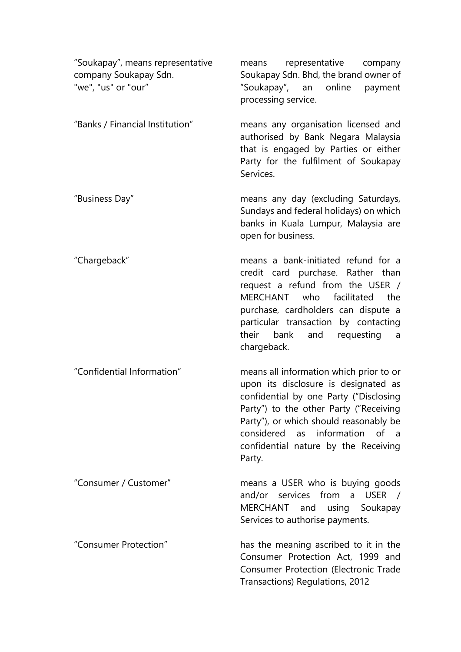| "Soukapay", means representative<br>company Soukapay Sdn.<br>"we", "us" or "our" | representative company<br>means<br>Soukapay Sdn. Bhd, the brand owner of<br>"Soukapay", an online<br>payment<br>processing service.                                                                                                                                                                                |
|----------------------------------------------------------------------------------|--------------------------------------------------------------------------------------------------------------------------------------------------------------------------------------------------------------------------------------------------------------------------------------------------------------------|
| "Banks / Financial Institution"                                                  | means any organisation licensed and<br>authorised by Bank Negara Malaysia<br>that is engaged by Parties or either<br>Party for the fulfilment of Soukapay<br>Services.                                                                                                                                             |
| "Business Day"                                                                   | means any day (excluding Saturdays,<br>Sundays and federal holidays) on which<br>banks in Kuala Lumpur, Malaysia are<br>open for business.                                                                                                                                                                         |
| "Chargeback"                                                                     | means a bank-initiated refund for a<br>credit card purchase. Rather than<br>request a refund from the USER /<br><b>MERCHANT</b><br>who<br>facilitated<br>the<br>purchase, cardholders can dispute a<br>particular transaction by contacting<br>their<br>bank<br>and<br>requesting<br>$\overline{a}$<br>chargeback. |
| "Confidential Information"                                                       | means all information which prior to or<br>upon its disclosure is designated as<br>confidential by one Party ("Disclosing<br>Party") to the other Party ("Receiving<br>Party"), or which should reasonably be<br>considered<br>as information<br>of a<br>confidential nature by the Receiving<br>Party.            |
| "Consumer / Customer"                                                            | means a USER who is buying goods<br>and/or services from a USER /<br>MERCHANT and<br>using<br>Soukapay<br>Services to authorise payments.                                                                                                                                                                          |
| "Consumer Protection"                                                            | has the meaning ascribed to it in the<br>Consumer Protection Act, 1999 and<br>Consumer Protection (Electronic Trade<br>Transactions) Regulations, 2012                                                                                                                                                             |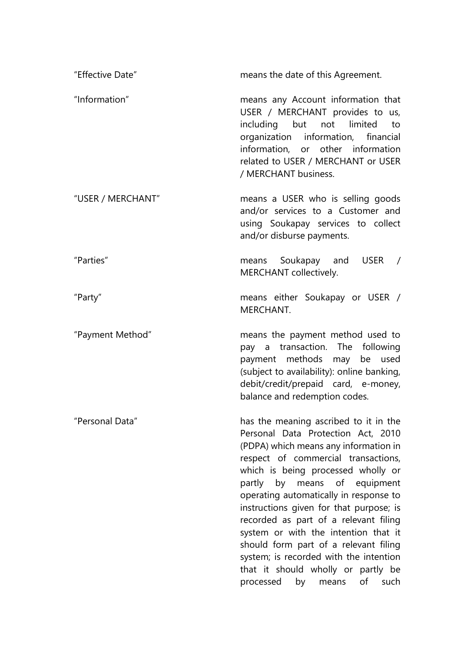| "Effective Date"  | means the date of this Agreement.                                                                                                                                                                                                                                                                                                                                                                                                                                                                                                                                          |
|-------------------|----------------------------------------------------------------------------------------------------------------------------------------------------------------------------------------------------------------------------------------------------------------------------------------------------------------------------------------------------------------------------------------------------------------------------------------------------------------------------------------------------------------------------------------------------------------------------|
| "Information"     | means any Account information that<br>USER / MERCHANT provides to us,<br>including but not limited<br>to<br>organization information, financial<br>information, or other information<br>related to USER / MERCHANT or USER<br>/ MERCHANT business.                                                                                                                                                                                                                                                                                                                         |
| "USER / MERCHANT" | means a USER who is selling goods<br>and/or services to a Customer and<br>using Soukapay services to collect<br>and/or disburse payments.                                                                                                                                                                                                                                                                                                                                                                                                                                  |
| "Parties"         | means Soukapay and<br>USER $/$<br>MERCHANT collectively.                                                                                                                                                                                                                                                                                                                                                                                                                                                                                                                   |
| "Party"           | means either Soukapay or USER /<br>MERCHANT.                                                                                                                                                                                                                                                                                                                                                                                                                                                                                                                               |
| "Payment Method"  | means the payment method used to<br>pay a transaction. The following<br>payment methods may<br>be used<br>(subject to availability): online banking,<br>debit/credit/prepaid card, e-money,<br>balance and redemption codes.                                                                                                                                                                                                                                                                                                                                               |
| "Personal Data"   | has the meaning ascribed to it in the<br>Personal Data Protection Act, 2010<br>(PDPA) which means any information in<br>respect of commercial transactions,<br>which is being processed wholly or<br>partly by means of equipment<br>operating automatically in response to<br>instructions given for that purpose; is<br>recorded as part of a relevant filing<br>system or with the intention that it<br>should form part of a relevant filing<br>system; is recorded with the intention<br>that it should wholly or partly be<br>processed<br>of<br>such<br>by<br>means |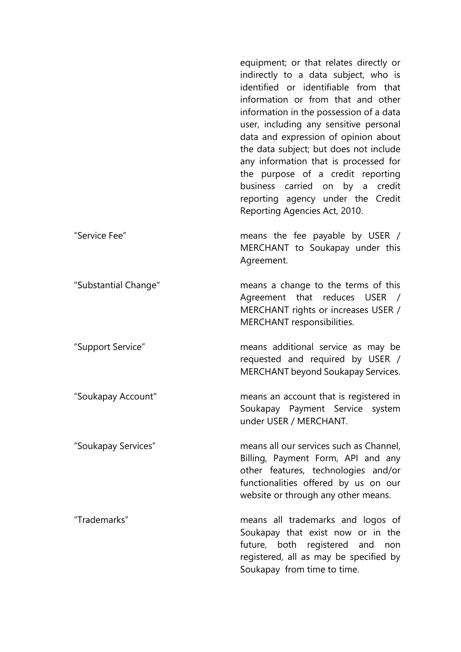equipment; or that relates directly or indirectly to a data subject, who is identified or identifiable from that information or from that and other information in the possession of a data user, including any sensitive personal data and expression of opinion about the data subject; but does not include any information that is processed for the purpose of a credit reporting business carried on by a credit reporting agency under the Credit Reporting Agencies Act, 2010. "Service Fee" means the fee payable by USER / MERCHANT to Soukapay under this Agreement. "Substantial Change" means a change to the terms of this Agreement that reduces USER / MERCHANT rights or increases USER / MERCHANT responsibilities. "Support Service" means additional service as may be requested and required by USER / MERCHANT beyond Soukapay Services. "Soukapay Account" means an account that is registered in Soukapay Payment Service system under USER / MERCHANT. "Soukapay Services" means all our services such as Channel, Billing, Payment Form, API and any other features, technologies and/or functionalities offered by us on our website or through any other means. "Trademarks" means all trademarks and logos of Soukapay that exist now or in the future, both registered and non registered, all as may be specified by Soukapay from time to time.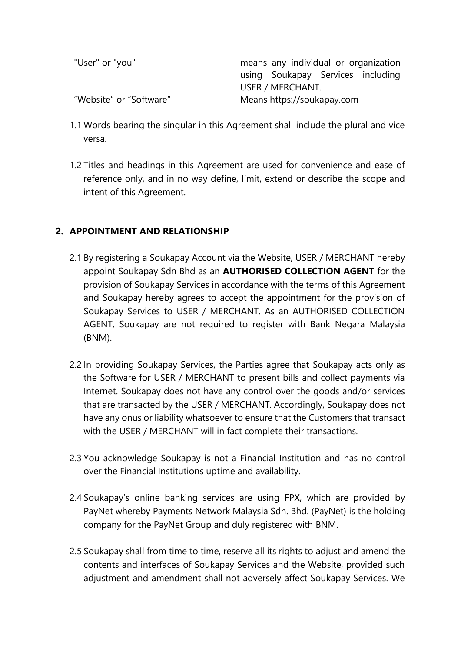| "User" or "you"         | means any individual or organization |
|-------------------------|--------------------------------------|
|                         | using Soukapay Services including    |
|                         | USER / MERCHANT.                     |
| "Website" or "Software" | Means https://soukapay.com           |

- 1.1 Words bearing the singular in this Agreement shall include the plural and vice versa.
- 1.2 Titles and headings in this Agreement are used for convenience and ease of reference only, and in no way define, limit, extend or describe the scope and intent of this Agreement.

# **2. APPOINTMENT AND RELATIONSHIP**

- 2.1 By registering a Soukapay Account via the Website, USER / MERCHANT hereby appoint Soukapay Sdn Bhd as an **AUTHORISED COLLECTION AGENT** for the provision of Soukapay Services in accordance with the terms of this Agreement and Soukapay hereby agrees to accept the appointment for the provision of Soukapay Services to USER / MERCHANT. As an AUTHORISED COLLECTION AGENT, Soukapay are not required to register with Bank Negara Malaysia (BNM).
- 2.2 In providing Soukapay Services, the Parties agree that Soukapay acts only as the Software for USER / MERCHANT to present bills and collect payments via Internet. Soukapay does not have any control over the goods and/or services that are transacted by the USER / MERCHANT. Accordingly, Soukapay does not have any onus or liability whatsoever to ensure that the Customers that transact with the USER / MERCHANT will in fact complete their transactions.
- 2.3 You acknowledge Soukapay is not a Financial Institution and has no control over the Financial Institutions uptime and availability.
- 2.4 Soukapay's online banking services are using FPX, which are provided by PayNet whereby Payments Network Malaysia Sdn. Bhd. (PayNet) is the holding company for the PayNet Group and duly registered with BNM.
- 2.5 Soukapay shall from time to time, reserve all its rights to adjust and amend the contents and interfaces of Soukapay Services and the Website, provided such adjustment and amendment shall not adversely affect Soukapay Services. We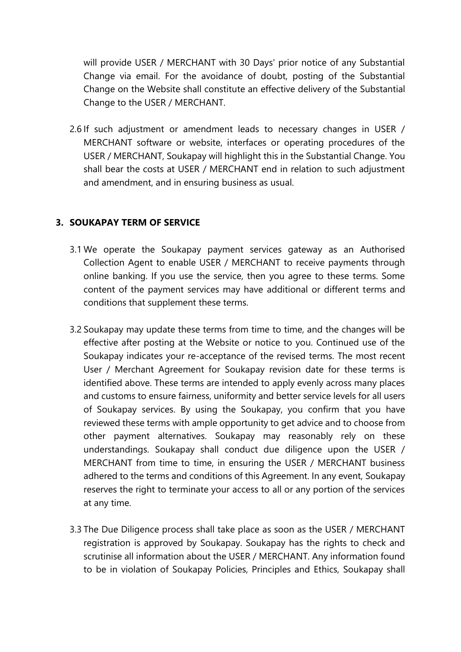will provide USER / MERCHANT with 30 Days' prior notice of any Substantial Change via email. For the avoidance of doubt, posting of the Substantial Change on the Website shall constitute an effective delivery of the Substantial Change to the USER / MERCHANT.

2.6 If such adjustment or amendment leads to necessary changes in USER / MERCHANT software or website, interfaces or operating procedures of the USER / MERCHANT, Soukapay will highlight this in the Substantial Change. You shall bear the costs at USER / MERCHANT end in relation to such adjustment and amendment, and in ensuring business as usual.

## **3. SOUKAPAY TERM OF SERVICE**

- 3.1 We operate the Soukapay payment services gateway as an Authorised Collection Agent to enable USER / MERCHANT to receive payments through online banking. If you use the service, then you agree to these terms. Some content of the payment services may have additional or different terms and conditions that supplement these terms.
- 3.2 Soukapay may update these terms from time to time, and the changes will be effective after posting at the Website or notice to you. Continued use of the Soukapay indicates your re-acceptance of the revised terms. The most recent User / Merchant Agreement for Soukapay revision date for these terms is identified above. These terms are intended to apply evenly across many places and customs to ensure fairness, uniformity and better service levels for all users of Soukapay services. By using the Soukapay, you confirm that you have reviewed these terms with ample opportunity to get advice and to choose from other payment alternatives. Soukapay may reasonably rely on these understandings. Soukapay shall conduct due diligence upon the USER / MERCHANT from time to time, in ensuring the USER / MERCHANT business adhered to the terms and conditions of this Agreement. In any event, Soukapay reserves the right to terminate your access to all or any portion of the services at any time.
- 3.3 The Due Diligence process shall take place as soon as the USER / MERCHANT registration is approved by Soukapay. Soukapay has the rights to check and scrutinise all information about the USER / MERCHANT. Any information found to be in violation of Soukapay Policies, Principles and Ethics, Soukapay shall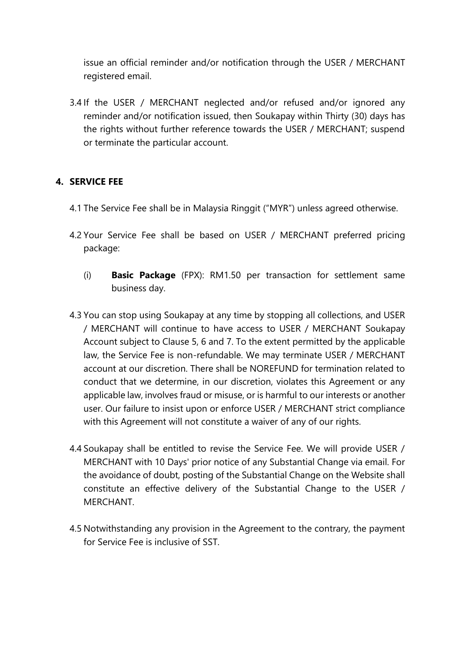issue an official reminder and/or notification through the USER / MERCHANT registered email.

3.4 If the USER / MERCHANT neglected and/or refused and/or ignored any reminder and/or notification issued, then Soukapay within Thirty (30) days has the rights without further reference towards the USER / MERCHANT; suspend or terminate the particular account.

# **4. SERVICE FEE**

- 4.1 The Service Fee shall be in Malaysia Ringgit ("MYR") unless agreed otherwise.
- 4.2 Your Service Fee shall be based on USER / MERCHANT preferred pricing package:
	- (i) **Basic Package** (FPX): RM1.50 per transaction for settlement same business day.
- 4.3 You can stop using Soukapay at any time by stopping all collections, and USER / MERCHANT will continue to have access to USER / MERCHANT Soukapay Account subject to Clause 5, 6 and 7. To the extent permitted by the applicable law, the Service Fee is non-refundable. We may terminate USER / MERCHANT account at our discretion. There shall be NOREFUND for termination related to conduct that we determine, in our discretion, violates this Agreement or any applicable law, involves fraud or misuse, or is harmful to our interests or another user. Our failure to insist upon or enforce USER / MERCHANT strict compliance with this Agreement will not constitute a waiver of any of our rights.
- 4.4 Soukapay shall be entitled to revise the Service Fee. We will provide USER / MERCHANT with 10 Days' prior notice of any Substantial Change via email. For the avoidance of doubt, posting of the Substantial Change on the Website shall constitute an effective delivery of the Substantial Change to the USER / MERCHANT.
- 4.5 Notwithstanding any provision in the Agreement to the contrary, the payment for Service Fee is inclusive of SST.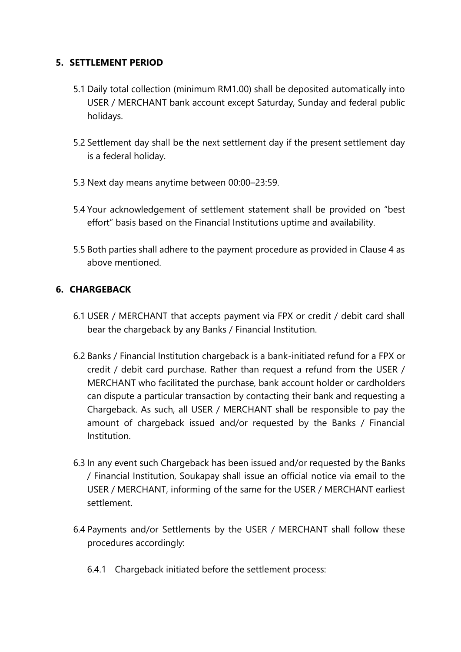## **5. SETTLEMENT PERIOD**

- 5.1 Daily total collection (minimum RM1.00) shall be deposited automatically into USER / MERCHANT bank account except Saturday, Sunday and federal public holidays.
- 5.2 Settlement day shall be the next settlement day if the present settlement day is a federal holiday.
- 5.3 Next day means anytime between 00:00–23:59.
- 5.4 Your acknowledgement of settlement statement shall be provided on "best effort" basis based on the Financial Institutions uptime and availability.
- 5.5 Both parties shall adhere to the payment procedure as provided in Clause 4 as above mentioned.

# **6. CHARGEBACK**

- 6.1 USER / MERCHANT that accepts payment via FPX or credit / debit card shall bear the chargeback by any Banks / Financial Institution.
- 6.2 Banks / Financial Institution chargeback is a bank-initiated refund for a FPX or credit / debit card purchase. Rather than request a refund from the USER / MERCHANT who facilitated the purchase, bank account holder or cardholders can dispute a particular transaction by contacting their bank and requesting a Chargeback. As such, all USER / MERCHANT shall be responsible to pay the amount of chargeback issued and/or requested by the Banks / Financial Institution.
- 6.3 In any event such Chargeback has been issued and/or requested by the Banks / Financial Institution, Soukapay shall issue an official notice via email to the USER / MERCHANT, informing of the same for the USER / MERCHANT earliest settlement.
- 6.4 Payments and/or Settlements by the USER / MERCHANT shall follow these procedures accordingly:
	- 6.4.1 Chargeback initiated before the settlement process: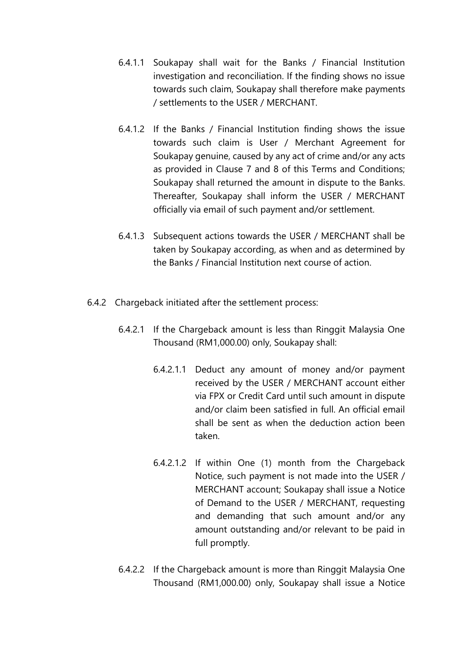- 6.4.1.1 Soukapay shall wait for the Banks / Financial Institution investigation and reconciliation. If the finding shows no issue towards such claim, Soukapay shall therefore make payments / settlements to the USER / MERCHANT.
- 6.4.1.2 If the Banks / Financial Institution finding shows the issue towards such claim is User / Merchant Agreement for Soukapay genuine, caused by any act of crime and/or any acts as provided in Clause 7 and 8 of this Terms and Conditions; Soukapay shall returned the amount in dispute to the Banks. Thereafter, Soukapay shall inform the USER / MERCHANT officially via email of such payment and/or settlement.
- 6.4.1.3 Subsequent actions towards the USER / MERCHANT shall be taken by Soukapay according, as when and as determined by the Banks / Financial Institution next course of action.
- 6.4.2 Chargeback initiated after the settlement process:
	- 6.4.2.1 If the Chargeback amount is less than Ringgit Malaysia One Thousand (RM1,000.00) only, Soukapay shall:
		- 6.4.2.1.1 Deduct any amount of money and/or payment received by the USER / MERCHANT account either via FPX or Credit Card until such amount in dispute and/or claim been satisfied in full. An official email shall be sent as when the deduction action been taken.
		- 6.4.2.1.2 If within One (1) month from the Chargeback Notice, such payment is not made into the USER / MERCHANT account; Soukapay shall issue a Notice of Demand to the USER / MERCHANT, requesting and demanding that such amount and/or any amount outstanding and/or relevant to be paid in full promptly.
	- 6.4.2.2 If the Chargeback amount is more than Ringgit Malaysia One Thousand (RM1,000.00) only, Soukapay shall issue a Notice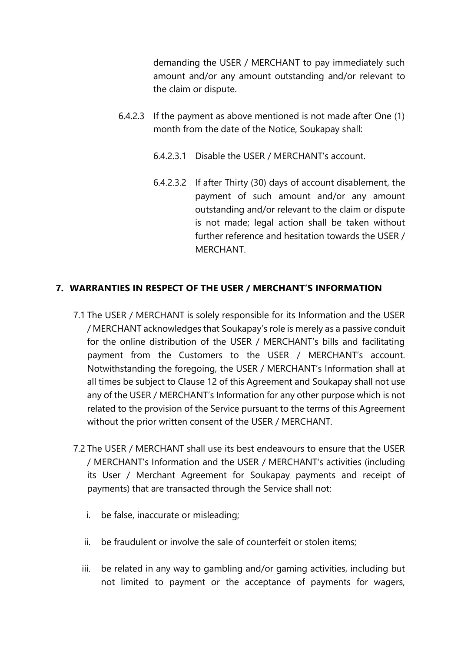demanding the USER / MERCHANT to pay immediately such amount and/or any amount outstanding and/or relevant to the claim or dispute.

- 6.4.2.3 If the payment as above mentioned is not made after One (1) month from the date of the Notice, Soukapay shall:
	- 6.4.2.3.1 Disable the USER / MERCHANT's account.
	- 6.4.2.3.2 If after Thirty (30) days of account disablement, the payment of such amount and/or any amount outstanding and/or relevant to the claim or dispute is not made; legal action shall be taken without further reference and hesitation towards the USER / **MERCHANT**

## **7. WARRANTIES IN RESPECT OF THE USER / MERCHANT'S INFORMATION**

- 7.1 The USER / MERCHANT is solely responsible for its Information and the USER / MERCHANT acknowledges that Soukapay's role is merely as a passive conduit for the online distribution of the USER / MERCHANT's bills and facilitating payment from the Customers to the USER / MERCHANT's account. Notwithstanding the foregoing, the USER / MERCHANT's Information shall at all times be subject to Clause 12 of this Agreement and Soukapay shall not use any of the USER / MERCHANT's Information for any other purpose which is not related to the provision of the Service pursuant to the terms of this Agreement without the prior written consent of the USER / MERCHANT.
- 7.2 The USER / MERCHANT shall use its best endeavours to ensure that the USER / MERCHANT's Information and the USER / MERCHANT's activities (including its User / Merchant Agreement for Soukapay payments and receipt of payments) that are transacted through the Service shall not:
	- i. be false, inaccurate or misleading;
	- ii. be fraudulent or involve the sale of counterfeit or stolen items;
	- iii. be related in any way to gambling and/or gaming activities, including but not limited to payment or the acceptance of payments for wagers,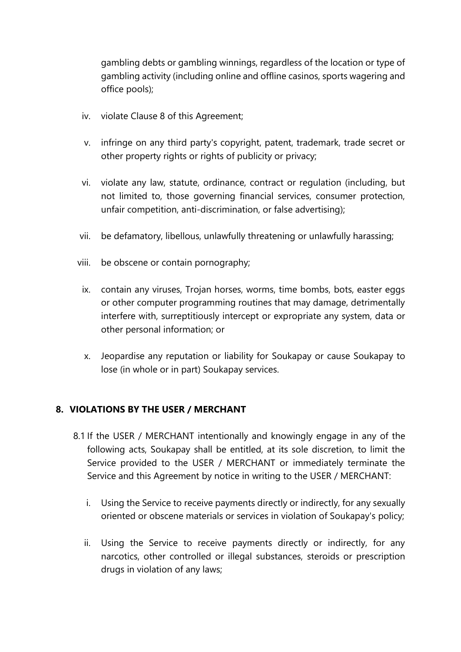gambling debts or gambling winnings, regardless of the location or type of gambling activity (including online and offline casinos, sports wagering and office pools);

- iv. violate Clause 8 of this Agreement;
- v. infringe on any third party's copyright, patent, trademark, trade secret or other property rights or rights of publicity or privacy;
- vi. violate any law, statute, ordinance, contract or regulation (including, but not limited to, those governing financial services, consumer protection, unfair competition, anti-discrimination, or false advertising);
- vii. be defamatory, libellous, unlawfully threatening or unlawfully harassing;
- viii. be obscene or contain pornography;
	- ix. contain any viruses, Trojan horses, worms, time bombs, bots, easter eggs or other computer programming routines that may damage, detrimentally interfere with, surreptitiously intercept or expropriate any system, data or other personal information; or
	- x. Jeopardise any reputation or liability for Soukapay or cause Soukapay to lose (in whole or in part) Soukapay services.

## **8. VIOLATIONS BY THE USER / MERCHANT**

- 8.1 If the USER / MERCHANT intentionally and knowingly engage in any of the following acts, Soukapay shall be entitled, at its sole discretion, to limit the Service provided to the USER / MERCHANT or immediately terminate the Service and this Agreement by notice in writing to the USER / MERCHANT:
	- i. Using the Service to receive payments directly or indirectly, for any sexually oriented or obscene materials or services in violation of Soukapay's policy;
	- ii. Using the Service to receive payments directly or indirectly, for any narcotics, other controlled or illegal substances, steroids or prescription drugs in violation of any laws;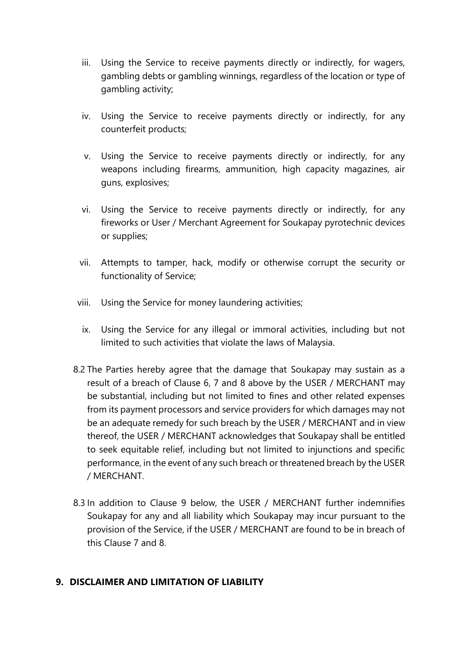- iii. Using the Service to receive payments directly or indirectly, for wagers, gambling debts or gambling winnings, regardless of the location or type of gambling activity;
- iv. Using the Service to receive payments directly or indirectly, for any counterfeit products;
- v. Using the Service to receive payments directly or indirectly, for any weapons including firearms, ammunition, high capacity magazines, air guns, explosives;
- vi. Using the Service to receive payments directly or indirectly, for any fireworks or User / Merchant Agreement for Soukapay pyrotechnic devices or supplies;
- vii. Attempts to tamper, hack, modify or otherwise corrupt the security or functionality of Service;
- viii. Using the Service for money laundering activities;
	- ix. Using the Service for any illegal or immoral activities, including but not limited to such activities that violate the laws of Malaysia.
- 8.2 The Parties hereby agree that the damage that Soukapay may sustain as a result of a breach of Clause 6, 7 and 8 above by the USER / MERCHANT may be substantial, including but not limited to fines and other related expenses from its payment processors and service providers for which damages may not be an adequate remedy for such breach by the USER / MERCHANT and in view thereof, the USER / MERCHANT acknowledges that Soukapay shall be entitled to seek equitable relief, including but not limited to injunctions and specific performance, in the event of any such breach or threatened breach by the USER / MERCHANT.
- 8.3 In addition to Clause 9 below, the USER / MERCHANT further indemnifies Soukapay for any and all liability which Soukapay may incur pursuant to the provision of the Service, if the USER / MERCHANT are found to be in breach of this Clause 7 and 8.

## **9. DISCLAIMER AND LIMITATION OF LIABILITY**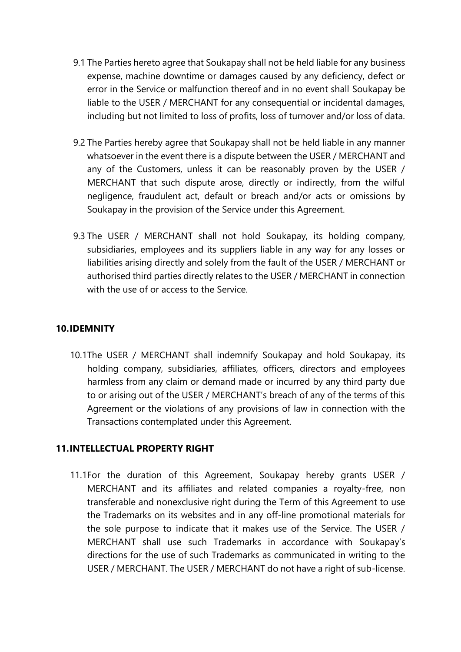- 9.1 The Parties hereto agree that Soukapay shall not be held liable for any business expense, machine downtime or damages caused by any deficiency, defect or error in the Service or malfunction thereof and in no event shall Soukapay be liable to the USER / MERCHANT for any consequential or incidental damages, including but not limited to loss of profits, loss of turnover and/or loss of data.
- 9.2 The Parties hereby agree that Soukapay shall not be held liable in any manner whatsoever in the event there is a dispute between the USER / MERCHANT and any of the Customers, unless it can be reasonably proven by the USER / MERCHANT that such dispute arose, directly or indirectly, from the wilful negligence, fraudulent act, default or breach and/or acts or omissions by Soukapay in the provision of the Service under this Agreement.
- 9.3 The USER / MERCHANT shall not hold Soukapay, its holding company, subsidiaries, employees and its suppliers liable in any way for any losses or liabilities arising directly and solely from the fault of the USER / MERCHANT or authorised third parties directly relates to the USER / MERCHANT in connection with the use of or access to the Service.

## **10.IDEMNITY**

10.1The USER / MERCHANT shall indemnify Soukapay and hold Soukapay, its holding company, subsidiaries, affiliates, officers, directors and employees harmless from any claim or demand made or incurred by any third party due to or arising out of the USER / MERCHANT's breach of any of the terms of this Agreement or the violations of any provisions of law in connection with the Transactions contemplated under this Agreement.

## **11.INTELLECTUAL PROPERTY RIGHT**

11.1For the duration of this Agreement, Soukapay hereby grants USER / MERCHANT and its affiliates and related companies a royalty-free, non transferable and nonexclusive right during the Term of this Agreement to use the Trademarks on its websites and in any off-line promotional materials for the sole purpose to indicate that it makes use of the Service. The USER / MERCHANT shall use such Trademarks in accordance with Soukapay's directions for the use of such Trademarks as communicated in writing to the USER / MERCHANT. The USER / MERCHANT do not have a right of sub-license.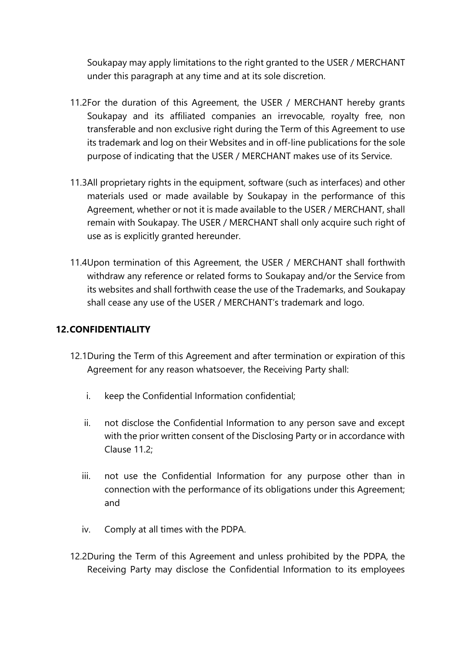Soukapay may apply limitations to the right granted to the USER / MERCHANT under this paragraph at any time and at its sole discretion.

- 11.2For the duration of this Agreement, the USER / MERCHANT hereby grants Soukapay and its affiliated companies an irrevocable, royalty free, non transferable and non exclusive right during the Term of this Agreement to use its trademark and log on their Websites and in off-line publications for the sole purpose of indicating that the USER / MERCHANT makes use of its Service.
- 11.3All proprietary rights in the equipment, software (such as interfaces) and other materials used or made available by Soukapay in the performance of this Agreement, whether or not it is made available to the USER / MERCHANT, shall remain with Soukapay. The USER / MERCHANT shall only acquire such right of use as is explicitly granted hereunder.
- 11.4Upon termination of this Agreement, the USER / MERCHANT shall forthwith withdraw any reference or related forms to Soukapay and/or the Service from its websites and shall forthwith cease the use of the Trademarks, and Soukapay shall cease any use of the USER / MERCHANT's trademark and logo.

# **12.CONFIDENTIALITY**

- 12.1During the Term of this Agreement and after termination or expiration of this Agreement for any reason whatsoever, the Receiving Party shall:
	- i. keep the Confidential Information confidential;
	- ii. not disclose the Confidential Information to any person save and except with the prior written consent of the Disclosing Party or in accordance with Clause 11.2;
	- iii. not use the Confidential Information for any purpose other than in connection with the performance of its obligations under this Agreement; and
	- iv. Comply at all times with the PDPA.
- 12.2During the Term of this Agreement and unless prohibited by the PDPA, the Receiving Party may disclose the Confidential Information to its employees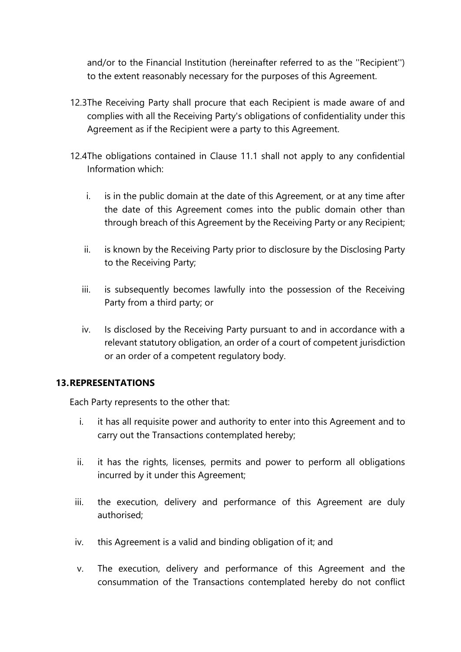and/or to the Financial Institution (hereinafter referred to as the ''Recipient'') to the extent reasonably necessary for the purposes of this Agreement.

- 12.3The Receiving Party shall procure that each Recipient is made aware of and complies with all the Receiving Party's obligations of confidentiality under this Agreement as if the Recipient were a party to this Agreement.
- 12.4The obligations contained in Clause 11.1 shall not apply to any confidential Information which:
	- i. is in the public domain at the date of this Agreement, or at any time after the date of this Agreement comes into the public domain other than through breach of this Agreement by the Receiving Party or any Recipient;
	- ii. is known by the Receiving Party prior to disclosure by the Disclosing Party to the Receiving Party;
	- iii. is subsequently becomes lawfully into the possession of the Receiving Party from a third party; or
	- iv. Is disclosed by the Receiving Party pursuant to and in accordance with a relevant statutory obligation, an order of a court of competent jurisdiction or an order of a competent regulatory body.

## **13.REPRESENTATIONS**

Each Party represents to the other that:

- i. it has all requisite power and authority to enter into this Agreement and to carry out the Transactions contemplated hereby;
- ii. it has the rights, licenses, permits and power to perform all obligations incurred by it under this Agreement;
- iii. the execution, delivery and performance of this Agreement are duly authorised;
- iv. this Agreement is a valid and binding obligation of it; and
- v. The execution, delivery and performance of this Agreement and the consummation of the Transactions contemplated hereby do not conflict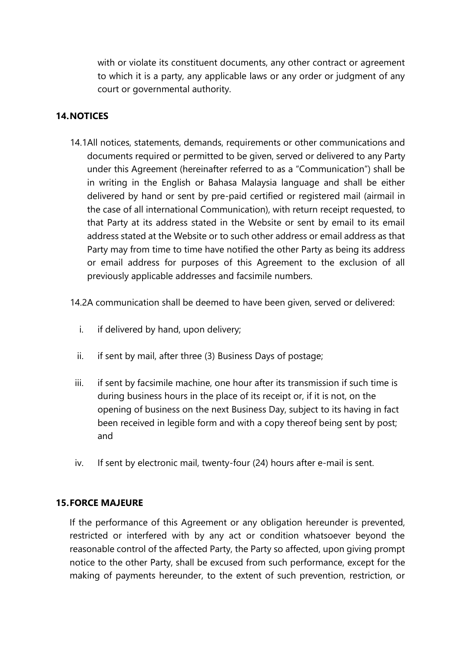with or violate its constituent documents, any other contract or agreement to which it is a party, any applicable laws or any order or judgment of any court or governmental authority.

## **14.NOTICES**

14.1All notices, statements, demands, requirements or other communications and documents required or permitted to be given, served or delivered to any Party under this Agreement (hereinafter referred to as a "Communication") shall be in writing in the English or Bahasa Malaysia language and shall be either delivered by hand or sent by pre-paid certified or registered mail (airmail in the case of all international Communication), with return receipt requested, to that Party at its address stated in the Website or sent by email to its email address stated at the Website or to such other address or email address as that Party may from time to time have notified the other Party as being its address or email address for purposes of this Agreement to the exclusion of all previously applicable addresses and facsimile numbers.

14.2A communication shall be deemed to have been given, served or delivered:

- i. if delivered by hand, upon delivery;
- ii. if sent by mail, after three (3) Business Days of postage;
- iii. if sent by facsimile machine, one hour after its transmission if such time is during business hours in the place of its receipt or, if it is not, on the opening of business on the next Business Day, subject to its having in fact been received in legible form and with a copy thereof being sent by post; and
- iv. If sent by electronic mail, twenty-four (24) hours after e-mail is sent.

## **15.FORCE MAJEURE**

If the performance of this Agreement or any obligation hereunder is prevented, restricted or interfered with by any act or condition whatsoever beyond the reasonable control of the affected Party, the Party so affected, upon giving prompt notice to the other Party, shall be excused from such performance, except for the making of payments hereunder, to the extent of such prevention, restriction, or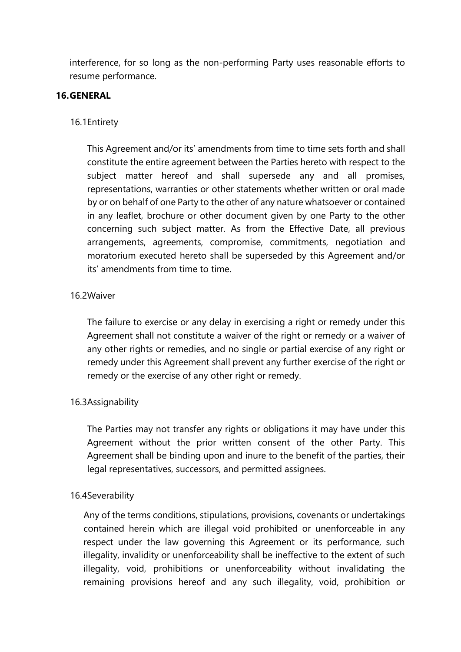interference, for so long as the non-performing Party uses reasonable efforts to resume performance.

#### **16.GENERAL**

#### 16.1Entirety

This Agreement and/or its' amendments from time to time sets forth and shall constitute the entire agreement between the Parties hereto with respect to the subject matter hereof and shall supersede any and all promises, representations, warranties or other statements whether written or oral made by or on behalf of one Party to the other of any nature whatsoever or contained in any leaflet, brochure or other document given by one Party to the other concerning such subject matter. As from the Effective Date, all previous arrangements, agreements, compromise, commitments, negotiation and moratorium executed hereto shall be superseded by this Agreement and/or its' amendments from time to time.

#### 16.2Waiver

The failure to exercise or any delay in exercising a right or remedy under this Agreement shall not constitute a waiver of the right or remedy or a waiver of any other rights or remedies, and no single or partial exercise of any right or remedy under this Agreement shall prevent any further exercise of the right or remedy or the exercise of any other right or remedy.

#### 16.3Assignability

The Parties may not transfer any rights or obligations it may have under this Agreement without the prior written consent of the other Party. This Agreement shall be binding upon and inure to the benefit of the parties, their legal representatives, successors, and permitted assignees.

#### 16.4Severability

Any of the terms conditions, stipulations, provisions, covenants or undertakings contained herein which are illegal void prohibited or unenforceable in any respect under the law governing this Agreement or its performance, such illegality, invalidity or unenforceability shall be ineffective to the extent of such illegality, void, prohibitions or unenforceability without invalidating the remaining provisions hereof and any such illegality, void, prohibition or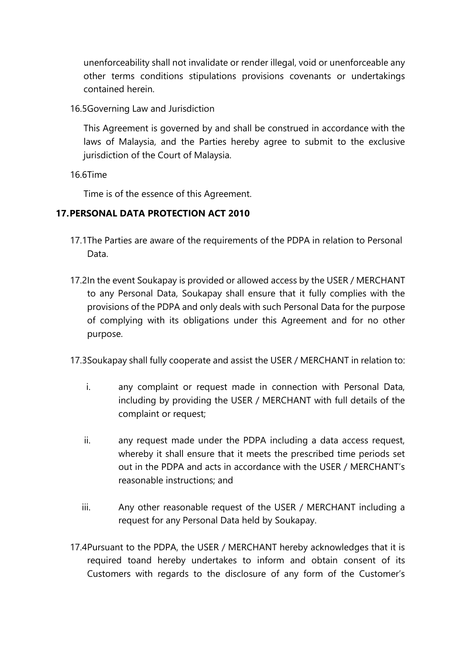unenforceability shall not invalidate or render illegal, void or unenforceable any other terms conditions stipulations provisions covenants or undertakings contained herein.

16.5Governing Law and Jurisdiction

This Agreement is governed by and shall be construed in accordance with the laws of Malaysia, and the Parties hereby agree to submit to the exclusive jurisdiction of the Court of Malaysia.

16.6Time

Time is of the essence of this Agreement.

## **17.PERSONAL DATA PROTECTION ACT 2010**

- 17.1The Parties are aware of the requirements of the PDPA in relation to Personal Data.
- 17.2In the event Soukapay is provided or allowed access by the USER / MERCHANT to any Personal Data, Soukapay shall ensure that it fully complies with the provisions of the PDPA and only deals with such Personal Data for the purpose of complying with its obligations under this Agreement and for no other purpose.
- 17.3Soukapay shall fully cooperate and assist the USER / MERCHANT in relation to:
	- i. any complaint or request made in connection with Personal Data, including by providing the USER / MERCHANT with full details of the complaint or request;
	- ii. any request made under the PDPA including a data access request, whereby it shall ensure that it meets the prescribed time periods set out in the PDPA and acts in accordance with the USER / MERCHANT's reasonable instructions; and
	- iii. Any other reasonable request of the USER / MERCHANT including a request for any Personal Data held by Soukapay.
- 17.4Pursuant to the PDPA, the USER / MERCHANT hereby acknowledges that it is required toand hereby undertakes to inform and obtain consent of its Customers with regards to the disclosure of any form of the Customer's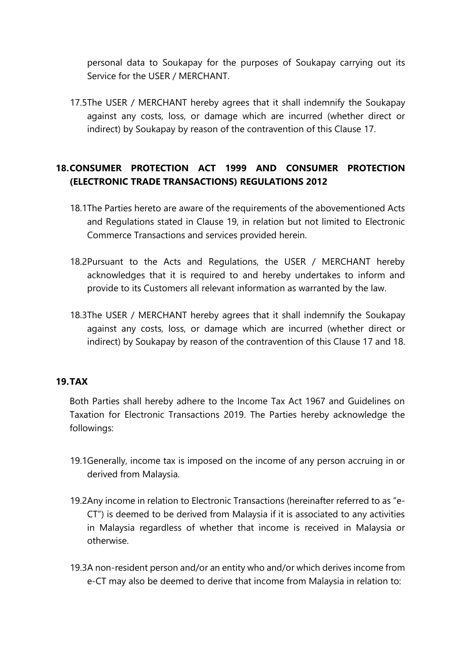personal data to Soukapay for the purposes of Soukapay carrying out its Service for the USER / MERCHANT.

17.5The USER / MERCHANT hereby agrees that it shall indemnify the Soukapay against any costs, loss, or damage which are incurred (whether direct or indirect) by Soukapay by reason of the contravention of this Clause 17.

# **18.CONSUMER PROTECTION ACT 1999 AND CONSUMER PROTECTION (ELECTRONIC TRADE TRANSACTIONS) REGULATIONS 2012**

- 18.1The Parties hereto are aware of the requirements of the abovementioned Acts and Regulations stated in Clause 19, in relation but not limited to Electronic Commerce Transactions and services provided herein.
- 18.2Pursuant to the Acts and Regulations, the USER / MERCHANT hereby acknowledges that it is required to and hereby undertakes to inform and provide to its Customers all relevant information as warranted by the law.
- 18.3The USER / MERCHANT hereby agrees that it shall indemnify the Soukapay against any costs, loss, or damage which are incurred (whether direct or indirect) by Soukapay by reason of the contravention of this Clause 17 and 18.

## **19.TAX**

Both Parties shall hereby adhere to the Income Tax Act 1967 and Guidelines on Taxation for Electronic Transactions 2019. The Parties hereby acknowledge the followings:

- 19.1Generally, income tax is imposed on the income of any person accruing in or derived from Malaysia.
- 19.2Any income in relation to Electronic Transactions (hereinafter referred to as "e-CT") is deemed to be derived from Malaysia if it is associated to any activities in Malaysia regardless of whether that income is received in Malaysia or otherwise.
- 19.3A non-resident person and/or an entity who and/or which derives income from e-CT may also be deemed to derive that income from Malaysia in relation to: